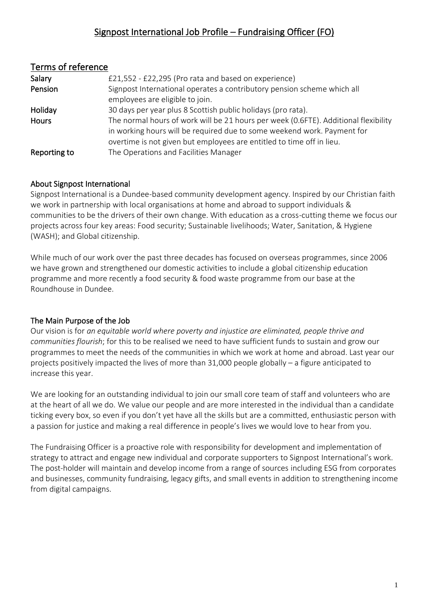# Signpost International Job Profile – Fundraising Officer (FO)

| Terms of reference |                                                                                     |  |
|--------------------|-------------------------------------------------------------------------------------|--|
| Salary             | £21,552 - £22,295 (Pro rata and based on experience)                                |  |
| Pension            | Signpost International operates a contributory pension scheme which all             |  |
|                    | employees are eligible to join.                                                     |  |
| Holiday            | 30 days per year plus 8 Scottish public holidays (pro rata).                        |  |
| Hours              | The normal hours of work will be 21 hours per week (0.6FTE). Additional flexibility |  |
|                    | in working hours will be required due to some weekend work. Payment for             |  |
|                    | overtime is not given but employees are entitled to time off in lieu.               |  |
| Reporting to       | The Operations and Facilities Manager                                               |  |

## About Signpost International

Signpost International is a Dundee-based community development agency. Inspired by our Christian faith we work in partnership with local organisations at home and abroad to support individuals & communities to be the drivers of their own change. With education as a cross-cutting theme we focus our projects across four key areas: Food security; Sustainable livelihoods; Water, Sanitation, & Hygiene (WASH); and Global citizenship.

While much of our work over the past three decades has focused on overseas programmes, since 2006 we have grown and strengthened our domestic activities to include a global citizenship education programme and more recently a food security & food waste programme from our base at the Roundhouse in Dundee.

## The Main Purpose of the Job

Our vision is for *an equitable world where poverty and injustice are eliminated, people thrive and communities flourish*; for this to be realised we need to have sufficient funds to sustain and grow our programmes to meet the needs of the communities in which we work at home and abroad. Last year our projects positively impacted the lives of more than 31,000 people globally – a figure anticipated to increase this year.

We are looking for an outstanding individual to join our small core team of staff and volunteers who are at the heart of all we do. We value our people and are more interested in the individual than a candidate ticking every box, so even if you don't yet have all the skills but are a committed, enthusiastic person with a passion for justice and making a real difference in people's lives we would love to hear from you.

The Fundraising Officer is a proactive role with responsibility for development and implementation of strategy to attract and engage new individual and corporate supporters to Signpost International's work. The post-holder will maintain and develop income from a range of sources including ESG from corporates and businesses, community fundraising, legacy gifts, and small events in addition to strengthening income from digital campaigns.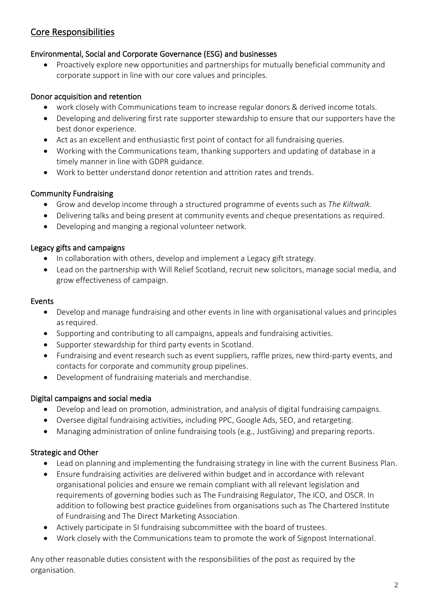# Core Responsibilities

### Environmental, Social and Corporate Governance (ESG) and businesses

• Proactively explore new opportunities and partnerships for mutually beneficial community and corporate support in line with our core values and principles.

### Donor acquisition and retention

- work closely with Communications team to increase regular donors & derived income totals.
- Developing and delivering first rate supporter stewardship to ensure that our supporters have the best donor experience.
- Act as an excellent and enthusiastic first point of contact for all fundraising queries.
- Working with the Communications team, thanking supporters and updating of database in a timely manner in line with GDPR guidance.
- Work to better understand donor retention and attrition rates and trends.

### Community Fundraising

- Grow and develop income through a structured programme of events such as *The Kiltwalk.*
- Delivering talks and being present at community events and cheque presentations as required.
- Developing and manging a regional volunteer network.

### Legacy gifts and campaigns

- In collaboration with others, develop and implement a Legacy gift strategy.
- Lead on the partnership with Will Relief Scotland, recruit new solicitors, manage social media, and grow effectiveness of campaign.

#### Events

- Develop and manage fundraising and other events in line with organisational values and principles as required.
- Supporting and contributing to all campaigns, appeals and fundraising activities.
- Supporter stewardship for third party events in Scotland.
- Fundraising and event research such as event suppliers, raffle prizes, new third-party events, and contacts for corporate and community group pipelines.
- Development of fundraising materials and merchandise.

#### Digital campaigns and social media

- Develop and lead on promotion, administration, and analysis of digital fundraising campaigns.
- Oversee digital fundraising activities, including PPC, Google Ads, SEO, and retargeting.
- Managing administration of online fundraising tools (e.g., JustGiving) and preparing reports.

#### Strategic and Other

- Lead on planning and implementing the fundraising strategy in line with the current Business Plan.
- Ensure fundraising activities are delivered within budget and in accordance with relevant organisational policies and ensure we remain compliant with all relevant legislation and requirements of governing bodies such as The Fundraising Regulator, The ICO, and OSCR. In addition to following best practice guidelines from organisations such as The Chartered Institute of Fundraising and The Direct Marketing Association.
- Actively participate in SI fundraising subcommittee with the board of trustees.
- Work closely with the Communications team to promote the work of Signpost International.

Any other reasonable duties consistent with the responsibilities of the post as required by the organisation.